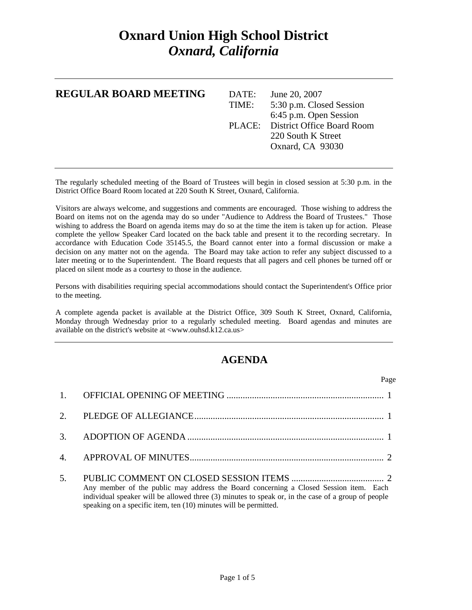## **Oxnard Union High School District**  *Oxnard, California*

| <b>REGULAR BOARD MEETING</b> | DATE:<br>TIME: | June 20, 2007<br>5:30 p.m. Closed Session<br>6:45 p.m. Open Session |
|------------------------------|----------------|---------------------------------------------------------------------|
|                              |                | PLACE: District Office Board Room                                   |
|                              |                | 220 South K Street                                                  |
|                              |                | Oxnard, CA 93030                                                    |
|                              |                |                                                                     |

The regularly scheduled meeting of the Board of Trustees will begin in closed session at 5:30 p.m. in the District Office Board Room located at 220 South K Street, Oxnard, California.

Visitors are always welcome, and suggestions and comments are encouraged. Those wishing to address the Board on items not on the agenda may do so under "Audience to Address the Board of Trustees." Those wishing to address the Board on agenda items may do so at the time the item is taken up for action. Please complete the yellow Speaker Card located on the back table and present it to the recording secretary. In accordance with Education Code 35145.5, the Board cannot enter into a formal discussion or make a decision on any matter not on the agenda. The Board may take action to refer any subject discussed to a later meeting or to the Superintendent. The Board requests that all pagers and cell phones be turned off or placed on silent mode as a courtesy to those in the audience.

Persons with disabilities requiring special accommodations should contact the Superintendent's Office prior to the meeting.

A complete agenda packet is available at the District Office, 309 South K Street, Oxnard, California, Monday through Wednesday prior to a regularly scheduled meeting. Board agendas and minutes are available on the district's website at <www.ouhsd.k12.ca.us>

## **AGENDA**

| Page                                                                                                                                                                                                                                                            |
|-----------------------------------------------------------------------------------------------------------------------------------------------------------------------------------------------------------------------------------------------------------------|
|                                                                                                                                                                                                                                                                 |
|                                                                                                                                                                                                                                                                 |
|                                                                                                                                                                                                                                                                 |
|                                                                                                                                                                                                                                                                 |
| Any member of the public may address the Board concerning a Closed Session item. Each<br>individual speaker will be allowed three (3) minutes to speak or, in the case of a group of people<br>speaking on a specific item, ten (10) minutes will be permitted. |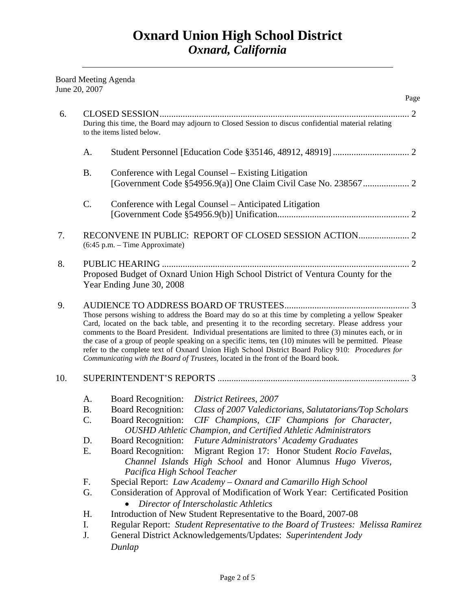Board Meeting Agenda June 20, 2007

|     |           |                                                                                                                                                                                                                                                                                                                                                                                                                                                                                                                                                                                                                     | Page |
|-----|-----------|---------------------------------------------------------------------------------------------------------------------------------------------------------------------------------------------------------------------------------------------------------------------------------------------------------------------------------------------------------------------------------------------------------------------------------------------------------------------------------------------------------------------------------------------------------------------------------------------------------------------|------|
| 6.  |           |                                                                                                                                                                                                                                                                                                                                                                                                                                                                                                                                                                                                                     |      |
|     |           | During this time, the Board may adjourn to Closed Session to discus confidential material relating<br>to the items listed below.                                                                                                                                                                                                                                                                                                                                                                                                                                                                                    |      |
|     | A.        |                                                                                                                                                                                                                                                                                                                                                                                                                                                                                                                                                                                                                     |      |
|     | <b>B.</b> | Conference with Legal Counsel - Existing Litigation                                                                                                                                                                                                                                                                                                                                                                                                                                                                                                                                                                 |      |
|     | C.        | Conference with Legal Counsel – Anticipated Litigation                                                                                                                                                                                                                                                                                                                                                                                                                                                                                                                                                              |      |
| 7.  |           | (6:45 p.m. - Time Approximate)                                                                                                                                                                                                                                                                                                                                                                                                                                                                                                                                                                                      |      |
| 8.  |           | Proposed Budget of Oxnard Union High School District of Ventura County for the<br>Year Ending June 30, 2008                                                                                                                                                                                                                                                                                                                                                                                                                                                                                                         |      |
| 9.  |           | Those persons wishing to address the Board may do so at this time by completing a yellow Speaker<br>Card, located on the back table, and presenting it to the recording secretary. Please address your<br>comments to the Board President. Individual presentations are limited to three (3) minutes each, or in<br>the case of a group of people speaking on a specific items, ten (10) minutes will be permitted. Please<br>refer to the complete text of Oxnard Union High School District Board Policy 910: Procedures for<br>Communicating with the Board of Trustees, located in the front of the Board book. |      |
| 10. |           |                                                                                                                                                                                                                                                                                                                                                                                                                                                                                                                                                                                                                     |      |
|     | A.        | <b>Board Recognition:</b><br><b>District Retirees</b> , 2007                                                                                                                                                                                                                                                                                                                                                                                                                                                                                                                                                        |      |
|     | <b>B.</b> | <b>Board Recognition:</b><br>Class of 2007 Valedictorians, Salutatorians/Top Scholars                                                                                                                                                                                                                                                                                                                                                                                                                                                                                                                               |      |
|     | C.        | <b>Board Recognition:</b><br>CIF Champions, CIF Champions for Character,<br><b>OUSHD</b> Athletic Champion, and Certified Athletic Administrators                                                                                                                                                                                                                                                                                                                                                                                                                                                                   |      |
|     | D.        | Board Recognition: Future Administrators' Academy Graduates                                                                                                                                                                                                                                                                                                                                                                                                                                                                                                                                                         |      |
|     | Е.        | Migrant Region 17: Honor Student Rocio Favelas,<br><b>Board Recognition:</b><br>Channel Islands High School and Honor Alumnus Hugo Viveros,<br>Pacifica High School Teacher                                                                                                                                                                                                                                                                                                                                                                                                                                         |      |
|     | F.        | Special Report: Law Academy - Oxnard and Camarillo High School                                                                                                                                                                                                                                                                                                                                                                                                                                                                                                                                                      |      |
|     | G.        | Consideration of Approval of Modification of Work Year: Certificated Position<br>Director of Interscholastic Athletics                                                                                                                                                                                                                                                                                                                                                                                                                                                                                              |      |
|     | H.        | Introduction of New Student Representative to the Board, 2007-08                                                                                                                                                                                                                                                                                                                                                                                                                                                                                                                                                    |      |
|     | I.        | Regular Report: Student Representative to the Board of Trustees: Melissa Ramirez                                                                                                                                                                                                                                                                                                                                                                                                                                                                                                                                    |      |
|     | J.        | General District Acknowledgements/Updates: Superintendent Jody                                                                                                                                                                                                                                                                                                                                                                                                                                                                                                                                                      |      |
|     |           | Dunlap                                                                                                                                                                                                                                                                                                                                                                                                                                                                                                                                                                                                              |      |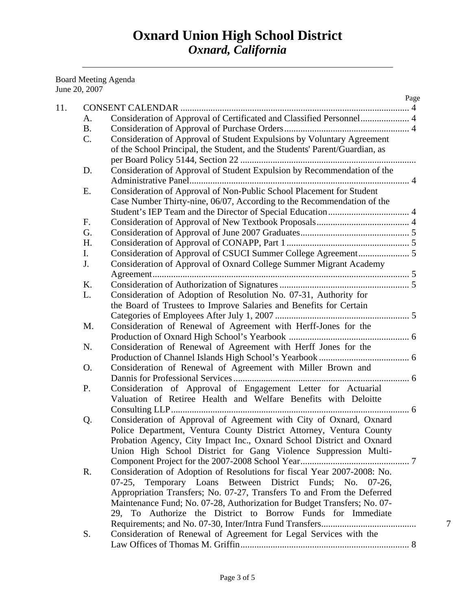Board Meeting Agenda June 20, 2007

|           |                                                                             | Page |
|-----------|-----------------------------------------------------------------------------|------|
|           |                                                                             |      |
| A.        | Consideration of Approval of Certificated and Classified Personnel 4        |      |
| <b>B.</b> |                                                                             |      |
| C.        | Consideration of Approval of Student Expulsions by Voluntary Agreement      |      |
|           | of the School Principal, the Student, and the Students' Parent/Guardian, as |      |
|           |                                                                             |      |
| D.        | Consideration of Approval of Student Expulsion by Recommendation of the     |      |
|           |                                                                             |      |
| E.        | Consideration of Approval of Non-Public School Placement for Student        |      |
|           | Case Number Thirty-nine, 06/07, According to the Recommendation of the      |      |
|           |                                                                             |      |
| F.        |                                                                             |      |
| G.        |                                                                             |      |
| H.        |                                                                             |      |
| I.        |                                                                             |      |
| J.        | Consideration of Approval of Oxnard College Summer Migrant Academy          |      |
|           |                                                                             |      |
| K.        |                                                                             |      |
| L.        | Consideration of Adoption of Resolution No. 07-31, Authority for            |      |
|           | the Board of Trustees to Improve Salaries and Benefits for Certain          |      |
|           |                                                                             |      |
| M.        | Consideration of Renewal of Agreement with Herff-Jones for the              |      |
|           |                                                                             |      |
| N.        | Consideration of Renewal of Agreement with Herff Jones for the              |      |
|           |                                                                             |      |
| O.        | Consideration of Renewal of Agreement with Miller Brown and                 |      |
|           |                                                                             |      |
| P.        | Consideration of Approval of Engagement Letter for Actuarial                |      |
|           | Valuation of Retiree Health and Welfare Benefits with Deloitte              |      |
|           |                                                                             |      |
| Q.        | Consideration of Approval of Agreement with City of Oxnard, Oxnard          |      |
|           | Police Department, Ventura County District Attorney, Ventura County         |      |
|           | Probation Agency, City Impact Inc., Oxnard School District and Oxnard       |      |
|           | Union High School District for Gang Violence Suppression Multi-             |      |
|           |                                                                             |      |
| R.        | Consideration of Adoption of Resolutions for fiscal Year 2007-2008: No.     |      |
|           | 07-25, Temporary Loans Between District Funds; No. 07-26,                   |      |
|           | Appropriation Transfers; No. 07-27, Transfers To and From the Deferred      |      |
|           | Maintenance Fund; No. 07-28, Authorization for Budget Transfers; No. 07-    |      |
|           | 29, To Authorize the District to Borrow Funds for Immediate                 |      |
|           |                                                                             |      |
| S.        | Consideration of Renewal of Agreement for Legal Services with the           |      |
|           |                                                                             |      |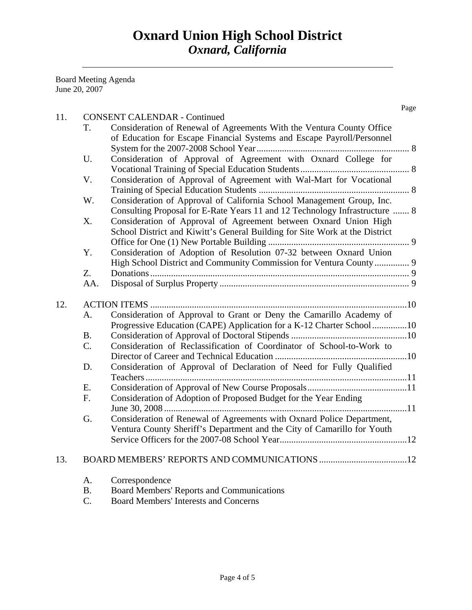Board Meeting Agenda June 20, 2007

| 11. |           | <b>CONSENT CALENDAR - Continued</b>                                         | Page |
|-----|-----------|-----------------------------------------------------------------------------|------|
|     | T.        | Consideration of Renewal of Agreements With the Ventura County Office       |      |
|     |           | of Education for Escape Financial Systems and Escape Payroll/Personnel      |      |
|     |           |                                                                             |      |
|     | U.        | Consideration of Approval of Agreement with Oxnard College for              |      |
|     |           |                                                                             |      |
|     | V.        | Consideration of Approval of Agreement with Wal-Mart for Vocational         |      |
|     |           |                                                                             |      |
|     | W.        | Consideration of Approval of California School Management Group, Inc.       |      |
|     |           | Consulting Proposal for E-Rate Years 11 and 12 Technology Infrastructure  8 |      |
|     | X.        | Consideration of Approval of Agreement between Oxnard Union High            |      |
|     |           | School District and Kiwitt's General Building for Site Work at the District |      |
|     |           |                                                                             |      |
|     | Y.        | Consideration of Adoption of Resolution 07-32 between Oxnard Union          |      |
|     |           | High School District and Community Commission for Ventura County  9         |      |
|     | Z.        |                                                                             |      |
|     | AA.       |                                                                             |      |
|     |           |                                                                             |      |
| 12. |           |                                                                             |      |
|     | A.        | Consideration of Approval to Grant or Deny the Camarillo Academy of         |      |
|     |           | Progressive Education (CAPE) Application for a K-12 Charter School10        |      |
|     | <b>B.</b> |                                                                             |      |
|     | C.        | Consideration of Reclassification of Coordinator of School-to-Work to       |      |
|     |           |                                                                             |      |
|     | D.        | Consideration of Approval of Declaration of Need for Fully Qualified        |      |
|     |           |                                                                             |      |
|     | E.        |                                                                             |      |
|     | F.        | Consideration of Adoption of Proposed Budget for the Year Ending            |      |
|     |           |                                                                             |      |
|     | G.        | Consideration of Renewal of Agreements with Oxnard Police Department,       |      |
|     |           | Ventura County Sheriff's Department and the City of Camarillo for Youth     |      |
|     |           |                                                                             |      |
| 13. |           |                                                                             |      |
|     | A.        | Correspondence                                                              |      |
|     | <b>B.</b> | <b>Board Members' Reports and Communications</b>                            |      |

C. Board Members' Interests and Concerns